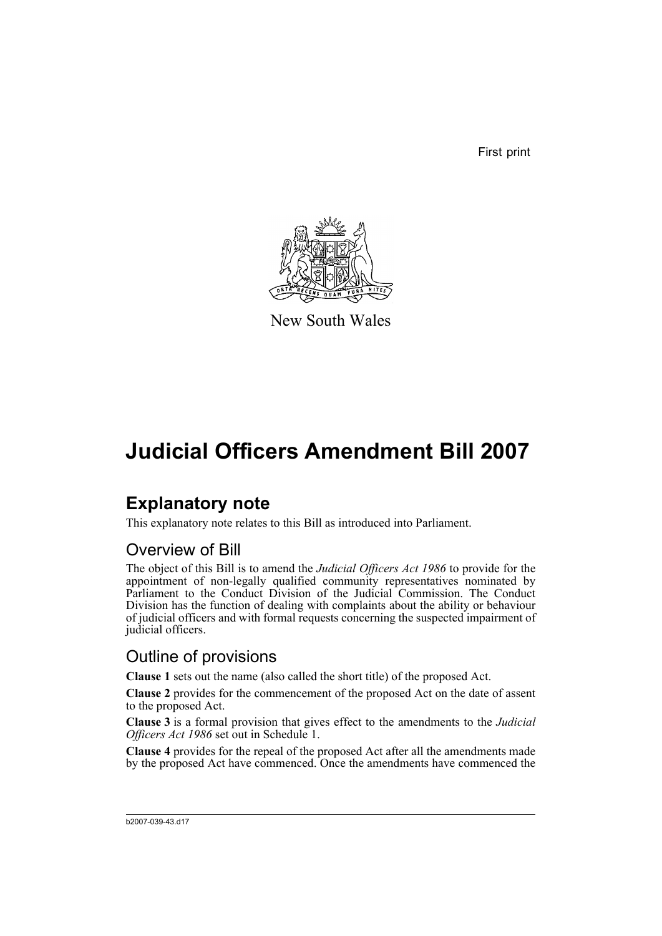First print



New South Wales

# **Judicial Officers Amendment Bill 2007**

## **Explanatory note**

This explanatory note relates to this Bill as introduced into Parliament.

### Overview of Bill

The object of this Bill is to amend the *Judicial Officers Act 1986* to provide for the appointment of non-legally qualified community representatives nominated by Parliament to the Conduct Division of the Judicial Commission. The Conduct Division has the function of dealing with complaints about the ability or behaviour of judicial officers and with formal requests concerning the suspected impairment of judicial officers.

## Outline of provisions

**Clause 1** sets out the name (also called the short title) of the proposed Act.

**Clause 2** provides for the commencement of the proposed Act on the date of assent to the proposed Act.

**Clause 3** is a formal provision that gives effect to the amendments to the *Judicial Officers Act 1986* set out in Schedule 1.

**Clause 4** provides for the repeal of the proposed Act after all the amendments made by the proposed Act have commenced. Once the amendments have commenced the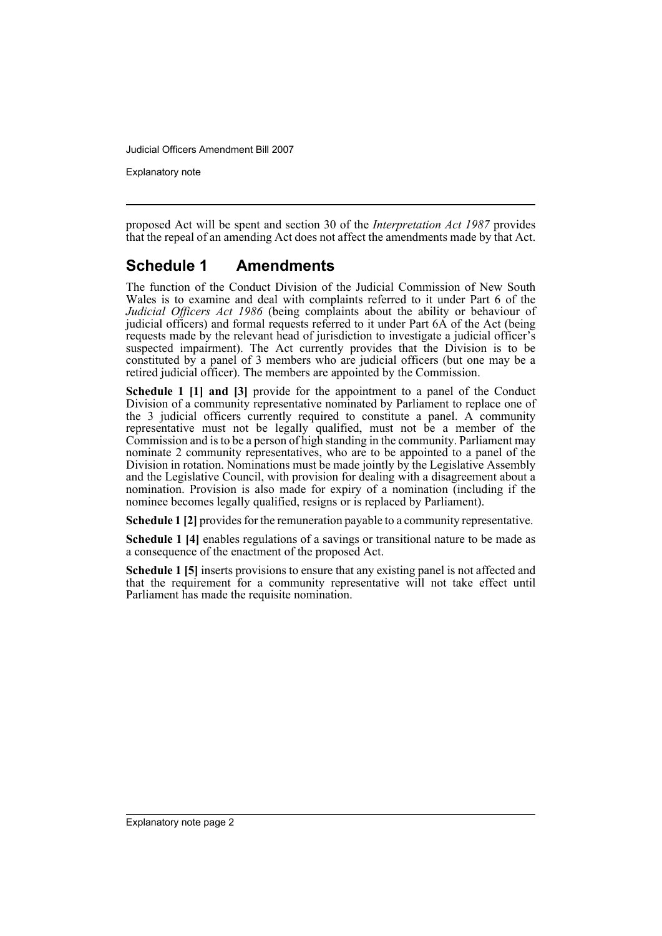Explanatory note

proposed Act will be spent and section 30 of the *Interpretation Act 1987* provides that the repeal of an amending Act does not affect the amendments made by that Act.

### **Schedule 1 Amendments**

The function of the Conduct Division of the Judicial Commission of New South Wales is to examine and deal with complaints referred to it under Part 6 of the *Judicial Officers Act 1986* (being complaints about the ability or behaviour of judicial officers) and formal requests referred to it under Part 6A of the Act (being requests made by the relevant head of jurisdiction to investigate a judicial officer's suspected impairment). The Act currently provides that the Division is to be constituted by a panel of 3 members who are judicial officers (but one may be a retired judicial officer). The members are appointed by the Commission.

**Schedule 1 [1] and [3]** provide for the appointment to a panel of the Conduct Division of a community representative nominated by Parliament to replace one of the 3 judicial officers currently required to constitute a panel. A community representative must not be legally qualified, must not be a member of the Commission and is to be a person of high standing in the community. Parliament may nominate 2 community representatives, who are to be appointed to a panel of the Division in rotation. Nominations must be made jointly by the Legislative Assembly and the Legislative Council, with provision for dealing with a disagreement about a nomination. Provision is also made for expiry of a nomination (including if the nominee becomes legally qualified, resigns or is replaced by Parliament).

**Schedule 1 [2]** provides for the remuneration payable to a community representative.

**Schedule 1 [4]** enables regulations of a savings or transitional nature to be made as a consequence of the enactment of the proposed Act.

**Schedule 1 [5]** inserts provisions to ensure that any existing panel is not affected and that the requirement for a community representative will not take effect until Parliament has made the requisite nomination.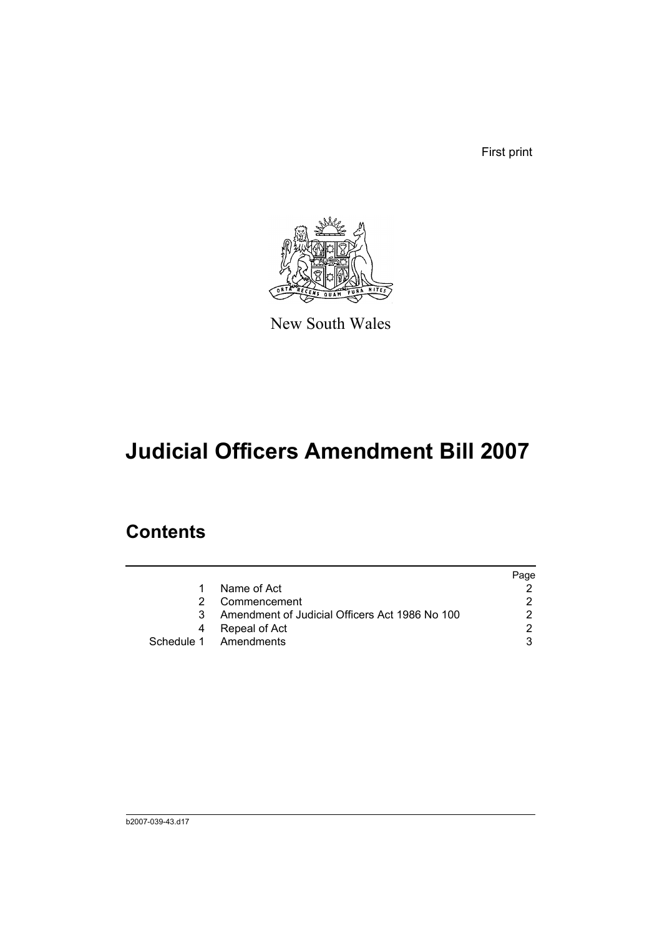First print



New South Wales

# **Judicial Officers Amendment Bill 2007**

## **Contents**

|    |                                                | Page |
|----|------------------------------------------------|------|
|    | Name of Act                                    |      |
| 2  | Commencement                                   | າ    |
| 3. | Amendment of Judicial Officers Act 1986 No 100 |      |
| 4  | Repeal of Act                                  | ◠    |
|    | Schedule 1 Amendments                          |      |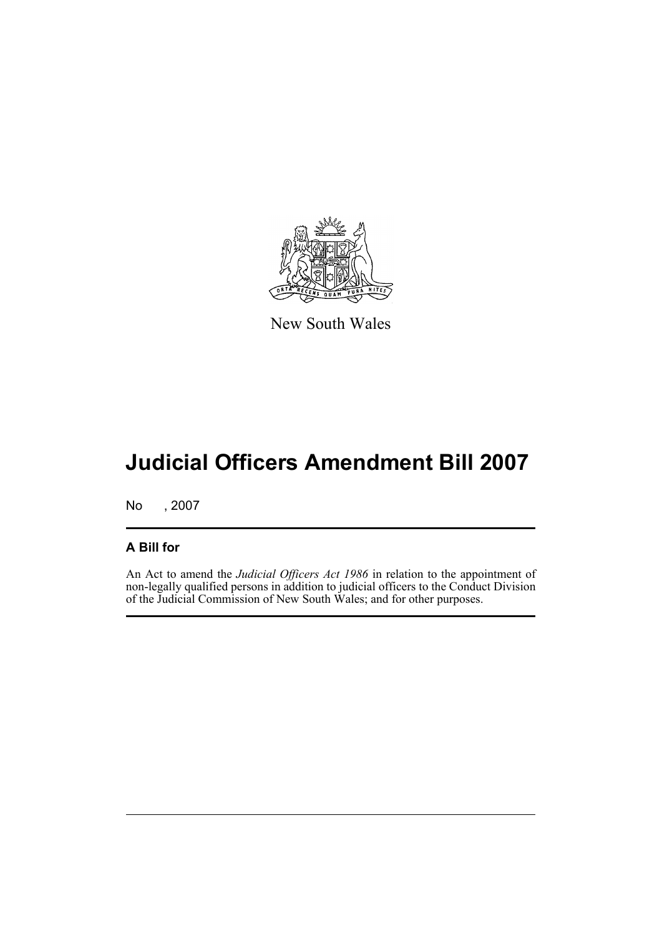

New South Wales

# **Judicial Officers Amendment Bill 2007**

No , 2007

### **A Bill for**

An Act to amend the *Judicial Officers Act 1986* in relation to the appointment of non-legally qualified persons in addition to judicial officers to the Conduct Division of the Judicial Commission of New South Wales; and for other purposes.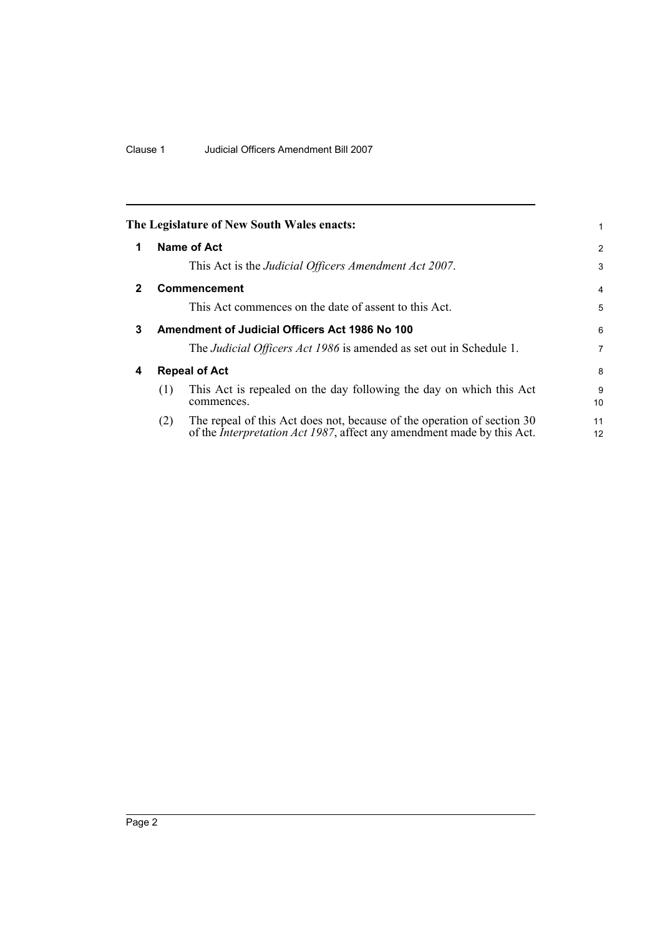<span id="page-5-3"></span><span id="page-5-2"></span><span id="page-5-1"></span><span id="page-5-0"></span>

|   |     | The Legislature of New South Wales enacts:                                                                                                                | 1                   |
|---|-----|-----------------------------------------------------------------------------------------------------------------------------------------------------------|---------------------|
| 1 |     | Name of Act<br>This Act is the Judicial Officers Amendment Act 2007.                                                                                      | $\overline{2}$<br>3 |
| 2 |     | <b>Commencement</b><br>This Act commences on the date of assent to this Act.                                                                              | $\overline{4}$<br>5 |
| 3 |     | Amendment of Judicial Officers Act 1986 No 100<br>The <i>Judicial Officers Act 1986</i> is amended as set out in Schedule 1.                              | 6<br>7              |
| 4 | (1) | <b>Repeal of Act</b><br>This Act is repealed on the day following the day on which this Act<br>commences.                                                 | 8<br>9<br>10        |
|   | (2) | The repeal of this Act does not, because of the operation of section 30<br>of the <i>Interpretation Act 1987</i> , affect any amendment made by this Act. | 11<br>12            |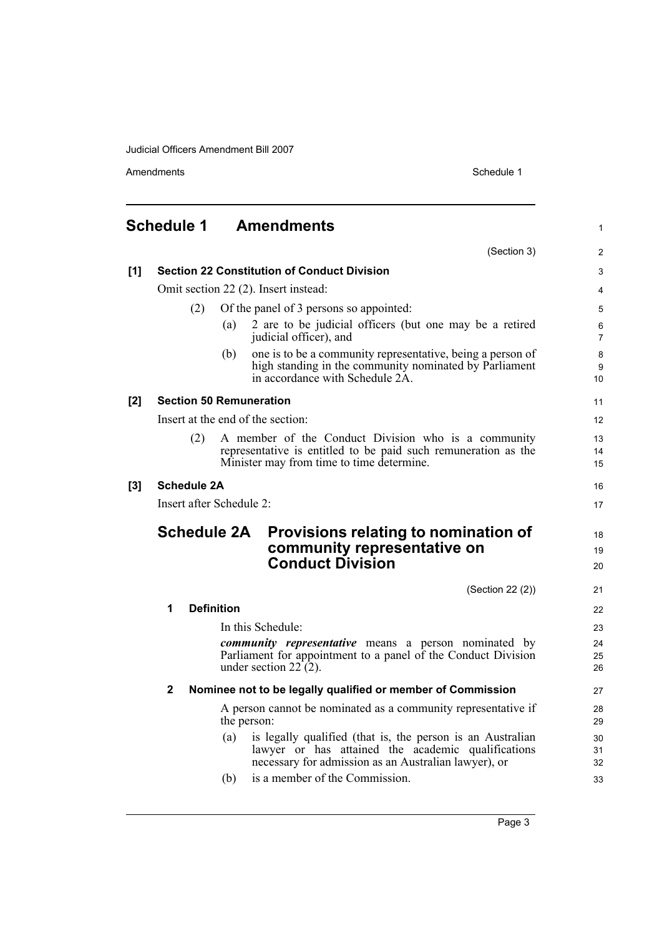Amendments Schedule 1

<span id="page-6-0"></span>

|     | <b>Schedule 1</b>                                  | <b>Amendments</b>                                                                                                                                                               | 1                    |  |
|-----|----------------------------------------------------|---------------------------------------------------------------------------------------------------------------------------------------------------------------------------------|----------------------|--|
|     |                                                    | (Section 3)                                                                                                                                                                     | $\overline{c}$       |  |
| [1] | <b>Section 22 Constitution of Conduct Division</b> |                                                                                                                                                                                 |                      |  |
|     | Omit section 22 (2). Insert instead:               |                                                                                                                                                                                 |                      |  |
|     | (2)                                                | Of the panel of 3 persons so appointed:                                                                                                                                         | 5                    |  |
|     |                                                    | 2 are to be judicial officers (but one may be a retired<br>(a)<br>judicial officer), and                                                                                        | 6<br>$\overline{7}$  |  |
|     |                                                    | one is to be a community representative, being a person of<br>(b)<br>high standing in the community nominated by Parliament<br>in accordance with Schedule 2A.                  | 8<br>9<br>10         |  |
| [2] |                                                    | <b>Section 50 Remuneration</b>                                                                                                                                                  | 11                   |  |
|     |                                                    | Insert at the end of the section:                                                                                                                                               | 12                   |  |
|     | (2)                                                | A member of the Conduct Division who is a community<br>representative is entitled to be paid such remuneration as the<br>Minister may from time to time determine.              | 13<br>14<br>15       |  |
| [3] | <b>Schedule 2A</b>                                 |                                                                                                                                                                                 | 16                   |  |
|     |                                                    | Insert after Schedule 2:                                                                                                                                                        | 17                   |  |
|     | <b>Schedule 2A</b>                                 | Provisions relating to nomination of<br>community representative on<br><b>Conduct Division</b>                                                                                  | 18<br>19<br>20       |  |
|     |                                                    | (Section 22 (2))                                                                                                                                                                | 21                   |  |
|     | 1                                                  | <b>Definition</b>                                                                                                                                                               | 22                   |  |
|     |                                                    | In this Schedule:                                                                                                                                                               | 23                   |  |
|     |                                                    | <i>community representative</i> means a person nominated by<br>Parliament for appointment to a panel of the Conduct Division<br>under section $22(2)$ .                         | 24<br>25<br>26       |  |
|     | $\mathbf{2}$                                       | Nominee not to be legally qualified or member of Commission                                                                                                                     | 27                   |  |
|     |                                                    | A person cannot be nominated as a community representative if<br>the person:                                                                                                    | 28                   |  |
|     |                                                    |                                                                                                                                                                                 |                      |  |
|     |                                                    | is legally qualified (that is, the person is an Australian<br>(a)<br>lawyer or has attained the academic qualifications<br>necessary for admission as an Australian lawyer), or | 29<br>30<br>31<br>32 |  |
|     |                                                    | is a member of the Commission.<br>(b)                                                                                                                                           | 33                   |  |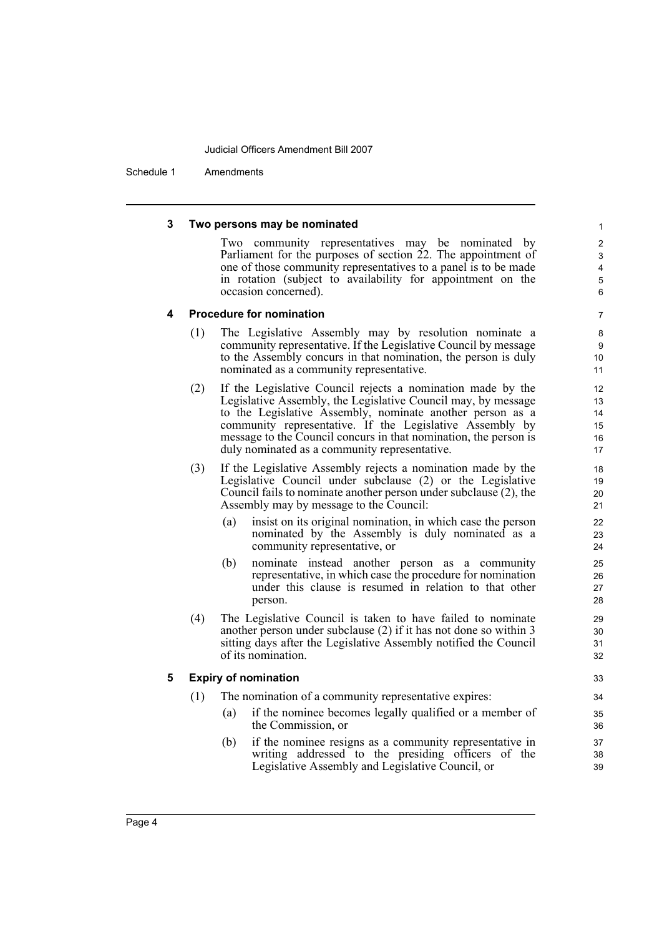Schedule 1 Amendments

#### **3 Two persons may be nominated**

Two community representatives may be nominated by Parliament for the purposes of section 22. The appointment of one of those community representatives to a panel is to be made in rotation (subject to availability for appointment on the occasion concerned).

#### **4 Procedure for nomination**

- (1) The Legislative Assembly may by resolution nominate a community representative. If the Legislative Council by message to the Assembly concurs in that nomination, the person is duly nominated as a community representative.
- (2) If the Legislative Council rejects a nomination made by the Legislative Assembly, the Legislative Council may, by message to the Legislative Assembly, nominate another person as a community representative. If the Legislative Assembly by message to the Council concurs in that nomination, the person is duly nominated as a community representative.
- (3) If the Legislative Assembly rejects a nomination made by the Legislative Council under subclause (2) or the Legislative Council fails to nominate another person under subclause (2), the Assembly may by message to the Council:
	- (a) insist on its original nomination, in which case the person nominated by the Assembly is duly nominated as a community representative, or
	- (b) nominate instead another person as a community representative, in which case the procedure for nomination under this clause is resumed in relation to that other person.
- (4) The Legislative Council is taken to have failed to nominate another person under subclause (2) if it has not done so within 3 sitting days after the Legislative Assembly notified the Council of its nomination.

#### **5 Expiry of nomination**

- (1) The nomination of a community representative expires:
	- (a) if the nominee becomes legally qualified or a member of the Commission, or
	- (b) if the nominee resigns as a community representative in writing addressed to the presiding officers of the Legislative Assembly and Legislative Council, or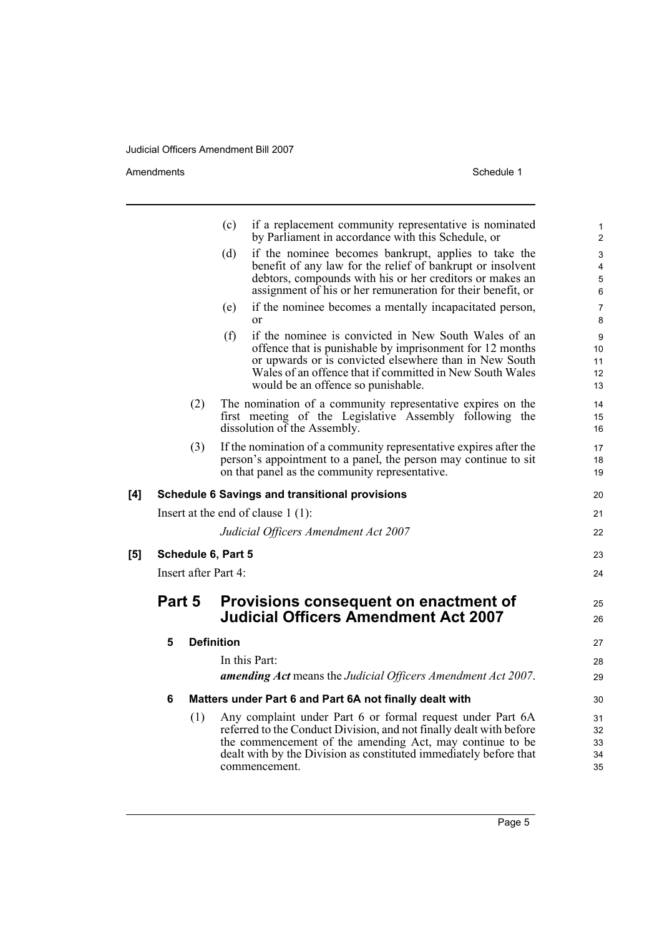Amendments Schedule 1

 $[5]$ 

|     |                    |     | (c)                  | if a replacement community representative is nominated<br>by Parliament in accordance with this Schedule, or                                                                                                                                                                        | 1<br>$\overline{2}$                    |
|-----|--------------------|-----|----------------------|-------------------------------------------------------------------------------------------------------------------------------------------------------------------------------------------------------------------------------------------------------------------------------------|----------------------------------------|
|     |                    |     | (d)                  | if the nominee becomes bankrupt, applies to take the<br>benefit of any law for the relief of bankrupt or insolvent<br>debtors, compounds with his or her creditors or makes an<br>assignment of his or her remuneration for their benefit, or                                       | 3<br>$\overline{\mathbf{4}}$<br>5<br>6 |
|     |                    |     | (e)                  | if the nominee becomes a mentally incapacitated person,<br>$\alpha$                                                                                                                                                                                                                 | $\overline{7}$<br>8                    |
|     |                    |     | (f)                  | if the nominee is convicted in New South Wales of an<br>offence that is punishable by imprisonment for 12 months<br>or upwards or is convicted elsewhere than in New South<br>Wales of an offence that if committed in New South Wales<br>would be an offence so punishable.        | 9<br>10<br>11<br>12<br>13              |
|     |                    | (2) |                      | The nomination of a community representative expires on the<br>first meeting of the Legislative Assembly following the<br>dissolution of the Assembly.                                                                                                                              | 14<br>15<br>16                         |
|     |                    | (3) |                      | If the nomination of a community representative expires after the<br>person's appointment to a panel, the person may continue to sit<br>on that panel as the community representative.                                                                                              | 17<br>18<br>19                         |
| [4] |                    |     |                      | <b>Schedule 6 Savings and transitional provisions</b>                                                                                                                                                                                                                               | 20                                     |
|     |                    |     |                      | Insert at the end of clause $1(1)$ :                                                                                                                                                                                                                                                | 21                                     |
|     |                    |     |                      | Judicial Officers Amendment Act 2007                                                                                                                                                                                                                                                | 22                                     |
| [5] | Schedule 6, Part 5 |     |                      |                                                                                                                                                                                                                                                                                     | 23                                     |
|     |                    |     | Insert after Part 4: |                                                                                                                                                                                                                                                                                     | 24                                     |
|     | Part 5             |     |                      | Provisions consequent on enactment of                                                                                                                                                                                                                                               | 25                                     |
|     |                    |     |                      | <b>Judicial Officers Amendment Act 2007</b>                                                                                                                                                                                                                                         | 26                                     |
|     | 5                  |     | <b>Definition</b>    |                                                                                                                                                                                                                                                                                     | 27                                     |
|     |                    |     |                      | In this Part:                                                                                                                                                                                                                                                                       | 28                                     |
|     |                    |     |                      | amending Act means the Judicial Officers Amendment Act 2007.                                                                                                                                                                                                                        | 29                                     |
|     | 6                  |     |                      | Matters under Part 6 and Part 6A not finally dealt with                                                                                                                                                                                                                             | 30                                     |
|     |                    | (1) |                      | Any complaint under Part 6 or formal request under Part 6A<br>referred to the Conduct Division, and not finally dealt with before<br>the commencement of the amending Act, may continue to be<br>dealt with by the Division as constituted immediately before that<br>commencement. | 31<br>32<br>33<br>34<br>35             |